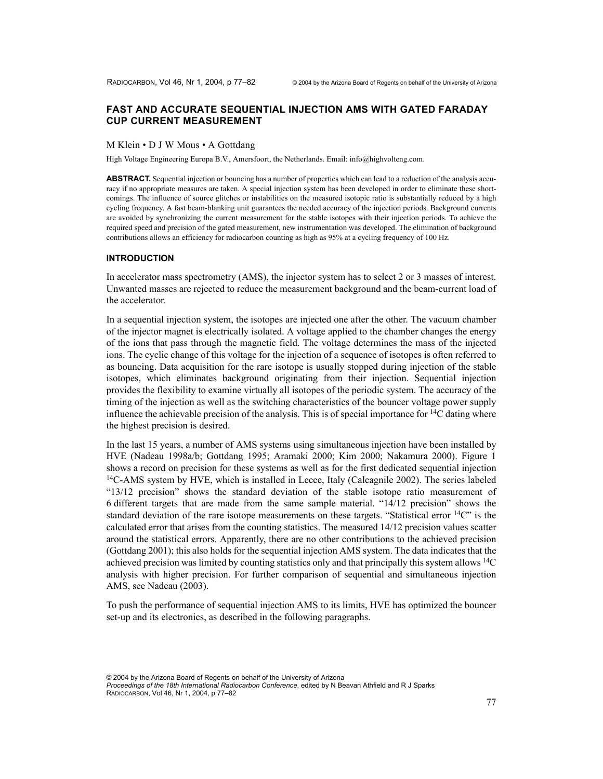# **FAST AND ACCURATE SEQUENTIAL INJECTION AMS WITH GATED FARADAY CUP CURRENT MEASUREMENT**

#### M Klein • D J W Mous • A Gottdang

High Voltage Engineering Europa B.V., Amersfoort, the Netherlands. Email: info@highvolteng.com.

**ABSTRACT.** Sequential injection or bouncing has a number of properties which can lead to a reduction of the analysis accuracy if no appropriate measures are taken. A special injection system has been developed in order to eliminate these shortcomings. The influence of source glitches or instabilities on the measured isotopic ratio is substantially reduced by a high cycling frequency. A fast beam-blanking unit guarantees the needed accuracy of the injection periods. Background currents are avoided by synchronizing the current measurement for the stable isotopes with their injection periods. To achieve the required speed and precision of the gated measurement, new instrumentation was developed. The elimination of background contributions allows an efficiency for radiocarbon counting as high as 95% at a cycling frequency of 100 Hz.

### **INTRODUCTION**

In accelerator mass spectrometry (AMS), the injector system has to select 2 or 3 masses of interest. Unwanted masses are rejected to reduce the measurement background and the beam-current load of the accelerator.

In a sequential injection system, the isotopes are injected one after the other. The vacuum chamber of the injector magnet is electrically isolated. A voltage applied to the chamber changes the energy of the ions that pass through the magnetic field. The voltage determines the mass of the injected ions. The cyclic change of this voltage for the injection of a sequence of isotopes is often referred to as bouncing. Data acquisition for the rare isotope is usually stopped during injection of the stable isotopes, which eliminates background originating from their injection. Sequential injection provides the flexibility to examine virtually all isotopes of the periodic system. The accuracy of the timing of the injection as well as the switching characteristics of the bouncer voltage power supply influence the achievable precision of the analysis. This is of special importance for  $^{14}C$  dating where the highest precision is desired.

In the last 15 years, a number of AMS systems using simultaneous injection have been installed by HVE (Nadeau 1998a/b; Gottdang 1995; Aramaki 2000; Kim 2000; Nakamura 2000). Figure 1 shows a record on precision for these systems as well as for the first dedicated sequential injection  $14C-AMS$  system by HVE, which is installed in Lecce, Italy (Calcagnile 2002). The series labeled "13/12 precision" shows the standard deviation of the stable isotope ratio measurement of 6 different targets that are made from the same sample material. "14/12 precision" shows the standard deviation of the rare isotope measurements on these targets. "Statistical error  $^{14}$ C" is the calculated error that arises from the counting statistics. The measured 14/12 precision values scatter around the statistical errors. Apparently, there are no other contributions to the achieved precision (Gottdang 2001); this also holds for the sequential injection AMS system. The data indicates that the achieved precision was limited by counting statistics only and that principally this system allows 14C analysis with higher precision. For further comparison of sequential and simultaneous injection AMS, see Nadeau (2003).

To push the performance of sequential injection AMS to its limits, HVE has optimized the bouncer set-up and its electronics, as described in the following paragraphs.

<sup>© 2004</sup> by the Arizona Board of Regents on behalf of the University of Arizona *Proceedings of the 18th International Radiocarbon Conference*, edited by N Beavan Athfield and R J Sparks RADIOCARBON, Vol 46, Nr 1, 2004, p 77–82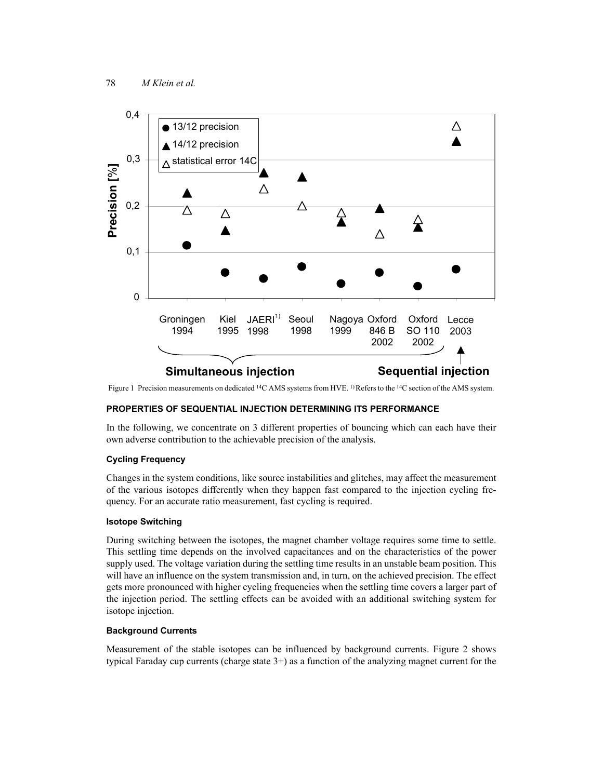

Figure 1 Precision measurements on dedicated <sup>14</sup>C AMS systems from HVE. <sup>1)</sup>Refers to the <sup>14</sup>C section of the AMS system.

## **PROPERTIES OF SEQUENTIAL INJECTION DETERMINING ITS PERFORMANCE**

In the following, we concentrate on 3 different properties of bouncing which can each have their own adverse contribution to the achievable precision of the analysis.

### **Cycling Frequency**

Changes in the system conditions, like source instabilities and glitches, may affect the measurement of the various isotopes differently when they happen fast compared to the injection cycling frequency. For an accurate ratio measurement, fast cycling is required.

### **Isotope Switching**

During switching between the isotopes, the magnet chamber voltage requires some time to settle. This settling time depends on the involved capacitances and on the characteristics of the power supply used. The voltage variation during the settling time results in an unstable beam position. This will have an influence on the system transmission and, in turn, on the achieved precision. The effect gets more pronounced with higher cycling frequencies when the settling time covers a larger part of the injection period. The settling effects can be avoided with an additional switching system for isotope injection.

### **Background Currents**

Measurement of the stable isotopes can be influenced by background currents. Figure 2 shows typical Faraday cup currents (charge state 3+) as a function of the analyzing magnet current for the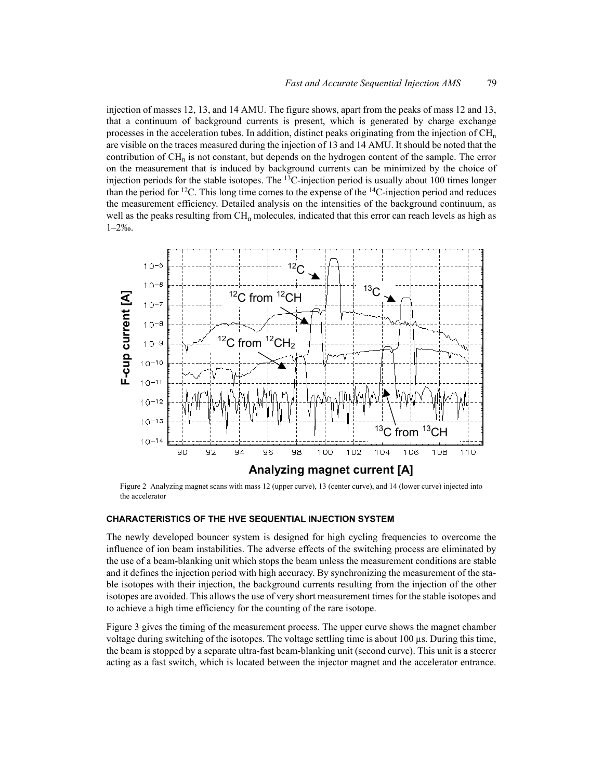injection of masses 12, 13, and 14 AMU. The figure shows, apart from the peaks of mass 12 and 13, that a continuum of background currents is present, which is generated by charge exchange processes in the acceleration tubes. In addition, distinct peaks originating from the injection of  $CH_n$ are visible on the traces measured during the injection of 13 and 14 AMU. It should be noted that the contribution of  $CH_n$  is not constant, but depends on the hydrogen content of the sample. The error on the measurement that is induced by background currents can be minimized by the choice of injection periods for the stable isotopes. The 13C-injection period is usually about 100 times longer than the period for <sup>12</sup>C. This long time comes to the expense of the <sup>14</sup>C-injection period and reduces the measurement efficiency. Detailed analysis on the intensities of the background continuum, as well as the peaks resulting from  $CH_n$  molecules, indicated that this error can reach levels as high as 1–2‰.



Figure 2 Analyzing magnet scans with mass 12 (upper curve), 13 (center curve), and 14 (lower curve) injected into the accelerator

#### **CHARACTERISTICS OF THE HVE SEQUENTIAL INJECTION SYSTEM**

The newly developed bouncer system is designed for high cycling frequencies to overcome the influence of ion beam instabilities. The adverse effects of the switching process are eliminated by the use of a beam-blanking unit which stops the beam unless the measurement conditions are stable and it defines the injection period with high accuracy. By synchronizing the measurement of the stable isotopes with their injection, the background currents resulting from the injection of the other isotopes are avoided. This allows the use of very short measurement times for the stable isotopes and to achieve a high time efficiency for the counting of the rare isotope.

Figure 3 gives the timing of the measurement process. The upper curve shows the magnet chamber voltage during switching of the isotopes. The voltage settling time is about 100 µs. During this time, the beam is stopped by a separate ultra-fast beam-blanking unit (second curve). This unit is a steerer acting as a fast switch, which is located between the injector magnet and the accelerator entrance.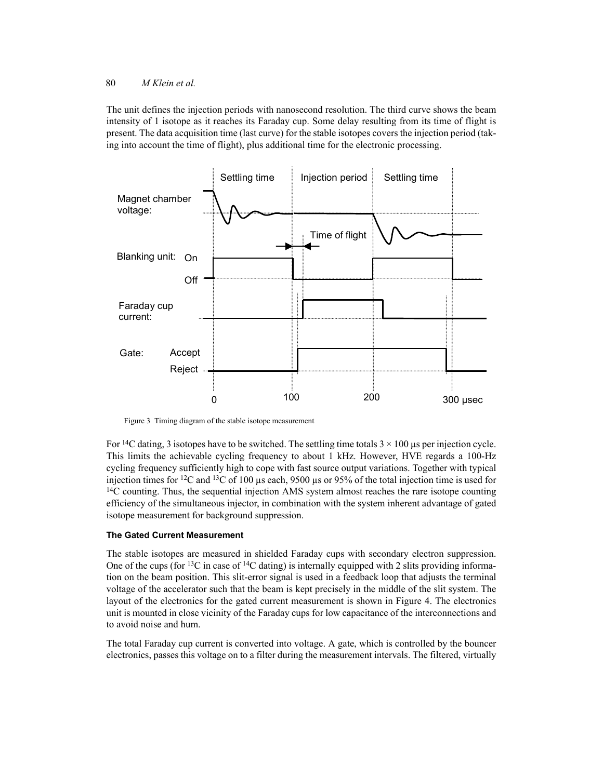### 80 *M Klein et al.*

The unit defines the injection periods with nanosecond resolution. The third curve shows the beam intensity of 1 isotope as it reaches its Faraday cup. Some delay resulting from its time of flight is present. The data acquisition time (last curve) for the stable isotopes covers the injection period (taking into account the time of flight), plus additional time for the electronic processing.



Figure 3 Timing diagram of the stable isotope measurement

For <sup>14</sup>C dating, 3 isotopes have to be switched. The settling time totals  $3 \times 100$  us per injection cycle. This limits the achievable cycling frequency to about 1 kHz. However, HVE regards a 100-Hz cycling frequency sufficiently high to cope with fast source output variations. Together with typical injection times for <sup>12</sup>C and <sup>13</sup>C of 100  $\mu$ s each, 9500  $\mu$ s or 95% of the total injection time is used for  $14C$  counting. Thus, the sequential injection AMS system almost reaches the rare isotope counting efficiency of the simultaneous injector, in combination with the system inherent advantage of gated isotope measurement for background suppression.

# **The Gated Current Measurement**

The stable isotopes are measured in shielded Faraday cups with secondary electron suppression. One of the cups (for <sup>13</sup>C in case of <sup>14</sup>C dating) is internally equipped with 2 slits providing information on the beam position. This slit-error signal is used in a feedback loop that adjusts the terminal voltage of the accelerator such that the beam is kept precisely in the middle of the slit system. The layout of the electronics for the gated current measurement is shown in Figure 4. The electronics unit is mounted in close vicinity of the Faraday cups for low capacitance of the interconnections and to avoid noise and hum.

The total Faraday cup current is converted into voltage. A gate, which is controlled by the bouncer electronics, passes this voltage on to a filter during the measurement intervals. The filtered, virtually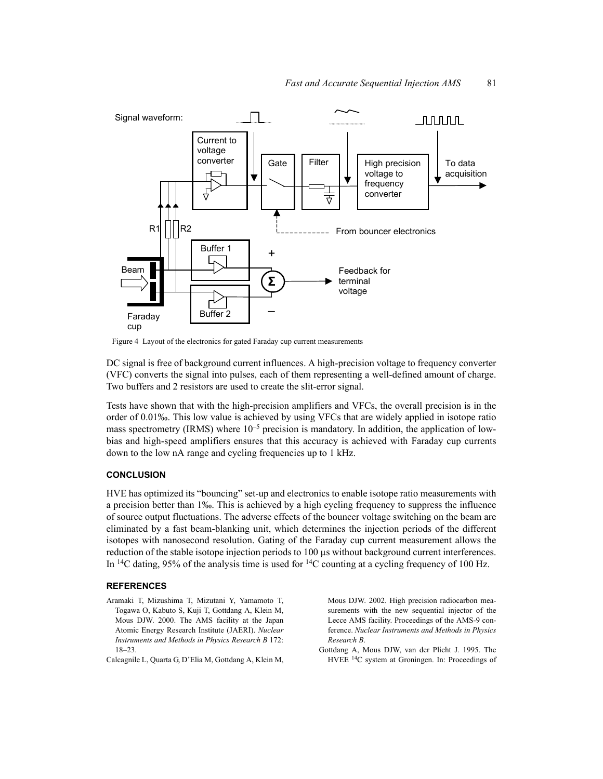

Figure 4 Layout of the electronics for gated Faraday cup current measurements

DC signal is free of background current influences. A high-precision voltage to frequency converter (VFC) converts the signal into pulses, each of them representing a well-defined amount of charge. Two buffers and 2 resistors are used to create the slit-error signal.

Tests have shown that with the high-precision amplifiers and VFCs, the overall precision is in the order of 0.01‰. This low value is achieved by using VFCs that are widely applied in isotope ratio mass spectrometry (IRMS) where  $10^{-5}$  precision is mandatory. In addition, the application of lowbias and high-speed amplifiers ensures that this accuracy is achieved with Faraday cup currents down to the low nA range and cycling frequencies up to 1 kHz.

#### **CONCLUSION**

HVE has optimized its "bouncing" set-up and electronics to enable isotope ratio measurements with a precision better than 1‰. This is achieved by a high cycling frequency to suppress the influence of source output fluctuations. The adverse effects of the bouncer voltage switching on the beam are eliminated by a fast beam-blanking unit, which determines the injection periods of the different isotopes with nanosecond resolution. Gating of the Faraday cup current measurement allows the reduction of the stable isotope injection periods to 100 µs without background current interferences. In <sup>14</sup>C dating, 95% of the analysis time is used for <sup>14</sup>C counting at a cycling frequency of 100 Hz.

#### **REFERENCES**

- Aramaki T, Mizushima T, Mizutani Y, Yamamoto T, Togawa O, Kabuto S, Kuji T, Gottdang A, Klein M, Mous DJW. 2000. The AMS facility at the Japan Atomic Energy Research Institute (JAERI). *Nuclear Instruments and Methods in Physics Research B* 172: 18–23.
- Calcagnile L, Quarta G, D'Elia M, Gottdang A, Klein M,

Mous DJW. 2002. High precision radiocarbon measurements with the new sequential injector of the Lecce AMS facility. Proceedings of the AMS-9 conference. *Nuclear Instruments and Methods in Physics Research B*.

Gottdang A, Mous DJW, van der Plicht J. 1995. The HVEE 14C system at Groningen. In: Proceedings of